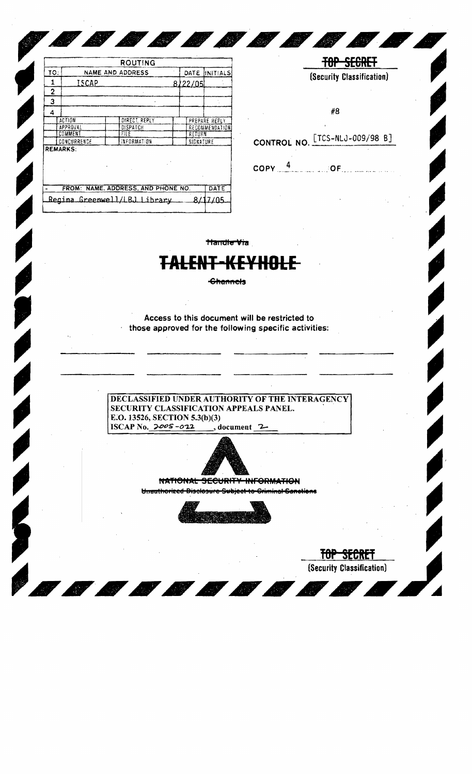|     |                 | <b>ROUTING</b>                     |                       |                 |
|-----|-----------------|------------------------------------|-----------------------|-----------------|
| TO: |                 | NAME AND ADDRESS                   | DATE                  | <b>INITIALS</b> |
| 1   | ISCAP           |                                    | 8/22/05               |                 |
| 2   |                 |                                    |                       |                 |
| 3   |                 |                                    |                       |                 |
| 4   |                 |                                    |                       |                 |
|     | ACTION          | DIRECT. REPLY                      |                       | PREPARE REFLY   |
|     | APPROVAL        | DISPATCH                           | <b>RECOMMENDATION</b> |                 |
|     | COMMENT         | FILE                               | RETURN                |                 |
|     | CONCURRENCE     | INFORMATION                        | SIGNATURE             |                 |
|     | <b>REMARKS:</b> |                                    |                       |                 |
|     |                 | FROM: NAME, ADDRESS, AND PHONE NO. |                       | DATE            |
|     |                 |                                    |                       |                 |

**COMPANY** 

| #8                             |  |
|--------------------------------|--|
| CONTROL NO. [TCS-NLJ-009/98 B] |  |
|                                |  |

**TOP SECRET** (Security Classification)

**COMPANY** 

**Handle Via** 

## **TALENT-KEYHOLE**

**Channels** 

Access to this document will be restricted to those approved for the following specific activities:

DECLASSIFIED UNDER AUTHORITY OF THE INTERAGENCY SECURITY CLASSIFICATION APPEALS PANEL. E.O. 13526, SECTION 5.3(b)(3) ISCAP No. 2005-022  $\rightarrow$  document 2



NATIONAL SECURITY INFORMATION Unauthorized Disclosure Subject to Criminal Canotions



TOP SECRET (Security Classification)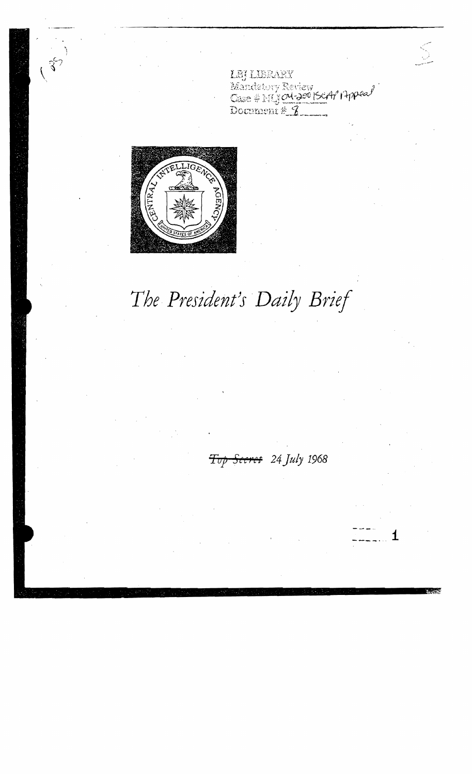LEJ LIBRARY<br>Mandatory Review<br>Case # MJ OU-200 (SCA/ 14ppea/ Document # 3



## The President's Daily Brief

Top Seeret 24 July 1968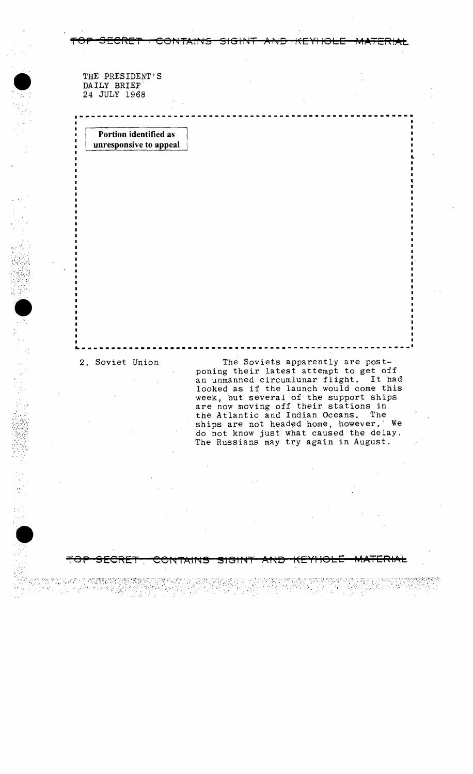## THE PRESIDENT'S<br>DAILY BRIEF<br>24 JULY 1968 DAILY BRIEF' 24 JULY 1968

**Portion identified as unresponsive to appeal** 

 $\sim$   $\,$ 

';:.

•

 $``$  .  $\mathbb{R}^n$  .  $\mathbb{R}^n$  ,  $\mathbb{R}^n$  ,  $\mathbb{R}^n$  ,  $\mathbb{R}^n$  ,  $\mathbb{R}^n$  ,  $\mathbb{R}^n$  ,  $\mathbb{R}^n$  $\cdot$  .

2. Soviet Union The Soviets apparently are postponing their latest attempt to get off an unmanned circumlunar flight. It had looked as if the launch would come this week, but several of the support ships are now moving off their stations in<br>the Atlantic and Indian Oceans. The the Atlantic and Indian Oceans. ships are not headed home, however,' We do not know just what caused the delay. The Russians may try again in August .

**--\_.\_---\_.\_-----.\_.--.\_.-\_.\_-.... \_-------\_.\_.\_-----.-.--**

~---------------------------------.---------------.--- --

**=repa SECRET Cer<4TAIr<J!!** !!1(~ltqT **AfqD t(EYIIOLE MATERIAL** 

I

 $, \, \, \cdot \,$ t

..